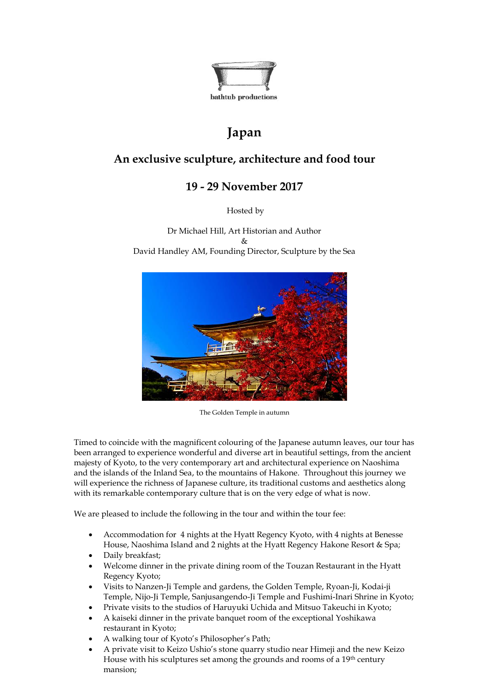

# **Japan**

# **An exclusive sculpture, architecture and food tour**

# **19 - 29 November 2017**

Hosted by

Dr Michael Hill, Art Historian and Author  $\mathcal{R}_{\mathcal{T}}$ David Handley AM, Founding Director, Sculpture by the Sea



The Golden Temple in autumn

Timed to coincide with the magnificent colouring of the Japanese autumn leaves, our tour has been arranged to experience wonderful and diverse art in beautiful settings, from the ancient majesty of Kyoto, to the very contemporary art and architectural experience on Naoshima and the islands of the Inland Sea, to the mountains of Hakone. Throughout this journey we will experience the richness of Japanese culture, its traditional customs and aesthetics along with its remarkable contemporary culture that is on the very edge of what is now.

We are pleased to include the following in the tour and within the tour fee:

- Accommodation for 4 nights at the Hyatt Regency Kyoto, with 4 nights at Benesse House, Naoshima Island and 2 nights at the Hyatt Regency Hakone Resort & Spa;
- Daily breakfast;
- Welcome dinner in the private dining room of the Touzan Restaurant in the Hyatt Regency Kyoto;
- Visits to Nanzen-Ji Temple and gardens, the Golden Temple, Ryoan-Ji, Kodai-ji Temple, Nijo-Ji Temple, Sanjusangendo-Ji Temple and Fushimi-Inari Shrine in Kyoto;
- Private visits to the studios of Haruyuki Uchida and Mitsuo Takeuchi in Kyoto;
- A kaiseki dinner in the private banquet room of the exceptional Yoshikawa restaurant in Kyoto;
- A walking tour of Kyoto's Philosopher's Path;
- A private visit to Keizo Ushio's stone quarry studio near Himeji and the new Keizo House with his sculptures set among the grounds and rooms of a 19<sup>th</sup> century mansion;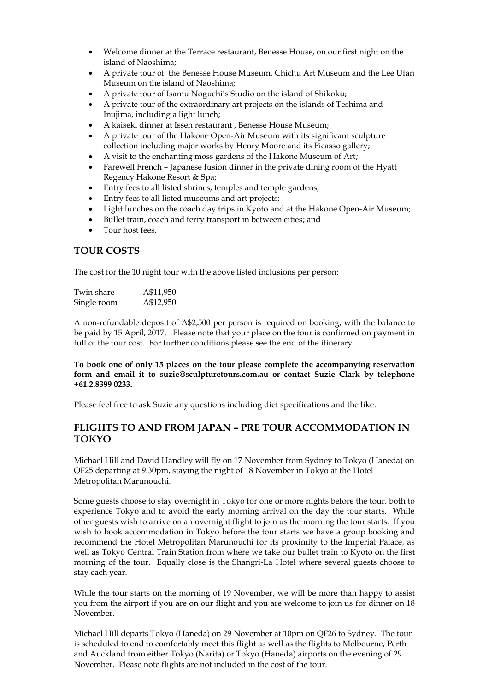- Welcome dinner at the Terrace restaurant, Benesse House, on our first night on the island of Naoshima;
- A private tour of the Benesse House Museum, Chichu Art Museum and the Lee Ufan Museum on the island of Naoshima;
- A private tour of Isamu Noguchi's Studio on the island of Shikoku;
- A private tour of the extraordinary art projects on the islands of Teshima and Inujima, including a light lunch;
- A kaiseki dinner at Issen restaurant , Benesse House Museum;
- A private tour of the Hakone Open-Air Museum with its significant sculpture collection including major works by Henry Moore and its Picasso gallery;
- A visit to the enchanting moss gardens of the Hakone Museum of Art;
- Farewell French Japanese fusion dinner in the private dining room of the Hyatt Regency Hakone Resort & Spa;
- Entry fees to all listed shrines, temples and temple gardens;
- Entry fees to all listed museums and art projects;
- Light lunches on the coach day trips in Kyoto and at the Hakone Open-Air Museum;
- Bullet train, coach and ferry transport in between cities; and
- Tour host fees.

### **TOUR COSTS**

The cost for the 10 night tour with the above listed inclusions per person:

| Twin share  | A\$11,950 |
|-------------|-----------|
| Single room | A\$12,950 |

A non-refundable deposit of A\$2,500 per person is required on booking, with the balance to be paid by 15 April, 2017. Please note that your place on the tour is confirmed on payment in full of the tour cost. For further conditions please see the end of the itinerary.

**To book one of only 15 places on the tour please complete the accompanying reservation form and email it to suzie@sculpturetours.com.au or contact Suzie Clark by telephone +61.2.8399 0233.**

Please feel free to ask Suzie any questions including diet specifications and the like.

### **FLIGHTS TO AND FROM JAPAN – PRE TOUR ACCOMMODATION IN TOKYO**

Michael Hill and David Handley will fly on 17 November from Sydney to Tokyo (Haneda) on QF25 departing at 9.30pm, staying the night of 18 November in Tokyo at the Hotel Metropolitan Marunouchi.

Some guests choose to stay overnight in Tokyo for one or more nights before the tour, both to experience Tokyo and to avoid the early morning arrival on the day the tour starts. While other guests wish to arrive on an overnight flight to join us the morning the tour starts. If you wish to book accommodation in Tokyo before the tour starts we have a group booking and recommend the Hotel Metropolitan Marunouchi for its proximity to the Imperial Palace, as well as Tokyo Central Train Station from where we take our bullet train to Kyoto on the first morning of the tour. Equally close is the Shangri-La Hotel where several guests choose to stay each year.

While the tour starts on the morning of 19 November, we will be more than happy to assist you from the airport if you are on our flight and you are welcome to join us for dinner on 18 November.

Michael Hill departs Tokyo (Haneda) on 29 November at 10pm on QF26 to Sydney. The tour is scheduled to end to comfortably meet this flight as well as the flights to Melbourne, Perth and Auckland from either Tokyo (Narita) or Tokyo (Haneda) airports on the evening of 29 November. Please note flights are not included in the cost of the tour.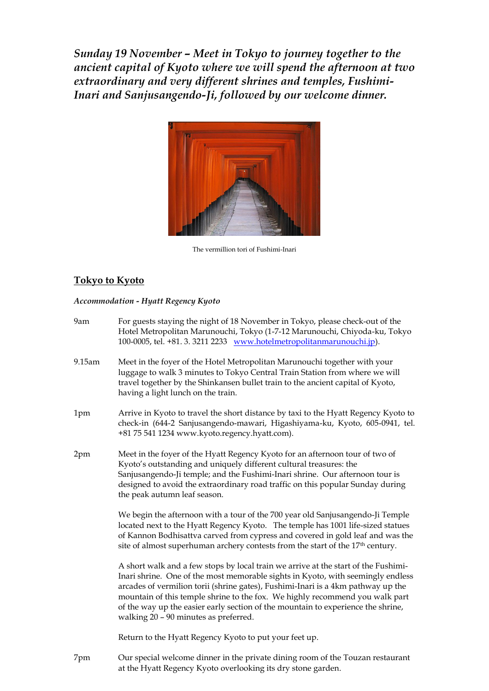*Sunday 19 November – Meet in Tokyo to journey together to the ancient capital of Kyoto where we will spend the afternoon at two extraordinary and very different shrines and temples, Fushimi-Inari and Sanjusangendo-Ji, followed by our welcome dinner.*



The vermillion tori of Fushimi-Inari

### **Tokyo to Kyoto**

#### *Accommodation - Hyatt Regency Kyoto*

- 9am For guests staying the night of 18 November in Tokyo, please check-out of the Hotel Metropolitan Marunouchi, Tokyo (1-7-12 Marunouchi, Chiyoda-ku, Tokyo 100-0005, tel. +81. 3. 3211 2233 [www.hotelmetropolitanmarunouchi.jp\)](http://www.hotelmetropolitanmarunouchi.jp/).
- 9.15am Meet in the foyer of the Hotel Metropolitan Marunouchi together with your luggage to walk 3 minutes to Tokyo Central Train Station from where we will travel together by the Shinkansen bullet train to the ancient capital of Kyoto, having a light lunch on the train.
- 1pm Arrive in Kyoto to travel the short distance by taxi to the Hyatt Regency Kyoto to check-in (644-2 Sanjusangendo-mawari, Higashiyama-ku, Kyoto, 605-0941, tel. +81 75 541 1234 www.kyoto.regency.hyatt.com).
- 2pm Meet in the foyer of the Hyatt Regency Kyoto for an afternoon tour of two of Kyoto's outstanding and uniquely different cultural treasures: the Sanjusangendo-Ji temple; and the Fushimi-Inari shrine. Our afternoon tour is designed to avoid the extraordinary road traffic on this popular Sunday during the peak autumn leaf season.

We begin the afternoon with a tour of the 700 year old Sanjusangendo-Ji Temple located next to the Hyatt Regency Kyoto. The temple has 1001 life-sized statues of Kannon Bodhisattva carved from cypress and covered in gold leaf and was the site of almost superhuman archery contests from the start of the 17th century.

A short walk and a few stops by local train we arrive at the start of the Fushimi-Inari shrine. One of the most memorable sights in Kyoto, with seemingly endless arcades of vermilion torii (shrine gates), Fushimi-Inari is a 4km pathway up the mountain of this temple shrine to the fox. We highly recommend you walk part of the way up the easier early section of the mountain to experience the shrine, walking 20 – 90 minutes as preferred.

Return to the Hyatt Regency Kyoto to put your feet up.

7pm Our special welcome dinner in the private dining room of the Touzan restaurant at the Hyatt Regency Kyoto overlooking its dry stone garden.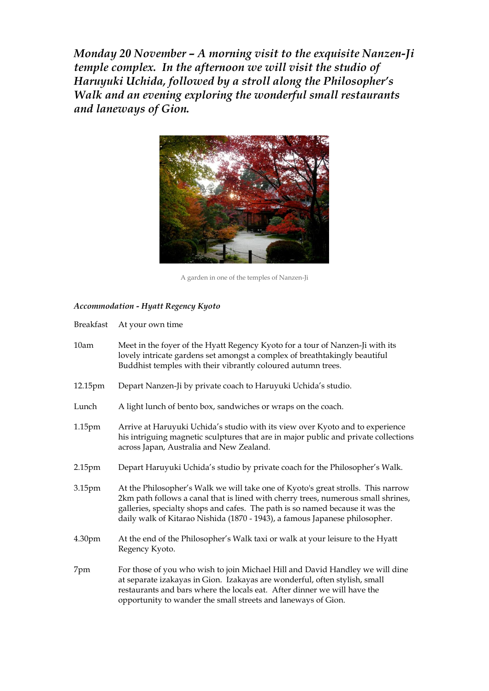*Monday 20 November – A morning visit to the exquisite Nanzen-Ji temple complex. In the afternoon we will visit the studio of Haruyuki Uchida, followed by a stroll along the Philosopher's Walk and an evening exploring the wonderful small restaurants and laneways of Gion.*



A garden in one of the temples of Nanzen-Ji

#### *Accommodation - Hyatt Regency Kyoto*

| <b>Breakfast</b> |  | At your own time |
|------------------|--|------------------|
|------------------|--|------------------|

| 10am               | Meet in the foyer of the Hyatt Regency Kyoto for a tour of Nanzen-Ji with its<br>lovely intricate gardens set amongst a complex of breathtakingly beautiful<br>Buddhist temples with their vibrantly coloured autumn trees.                                                                                                           |
|--------------------|---------------------------------------------------------------------------------------------------------------------------------------------------------------------------------------------------------------------------------------------------------------------------------------------------------------------------------------|
| 12.15pm            | Depart Nanzen-Ji by private coach to Haruyuki Uchida's studio.                                                                                                                                                                                                                                                                        |
| Lunch              | A light lunch of bento box, sandwiches or wraps on the coach.                                                                                                                                                                                                                                                                         |
| 1.15 <sub>pm</sub> | Arrive at Haruyuki Uchida's studio with its view over Kyoto and to experience<br>his intriguing magnetic sculptures that are in major public and private collections<br>across Japan, Australia and New Zealand.                                                                                                                      |
| 2.15pm             | Depart Haruyuki Uchida's studio by private coach for the Philosopher's Walk.                                                                                                                                                                                                                                                          |
| 3.15pm             | At the Philosopher's Walk we will take one of Kyoto's great strolls. This narrow<br>2km path follows a canal that is lined with cherry trees, numerous small shrines,<br>galleries, specialty shops and cafes. The path is so named because it was the<br>daily walk of Kitarao Nishida (1870 - 1943), a famous Japanese philosopher. |
| 4.30 <sub>pm</sub> | At the end of the Philosopher's Walk taxi or walk at your leisure to the Hyatt<br>Regency Kyoto.                                                                                                                                                                                                                                      |
| 7pm                | For those of you who wish to join Michael Hill and David Handley we will dine<br>at separate izakayas in Gion. Izakayas are wonderful, often stylish, small<br>restaurants and bars where the locals eat. After dinner we will have the<br>opportunity to wander the small streets and laneways of Gion.                              |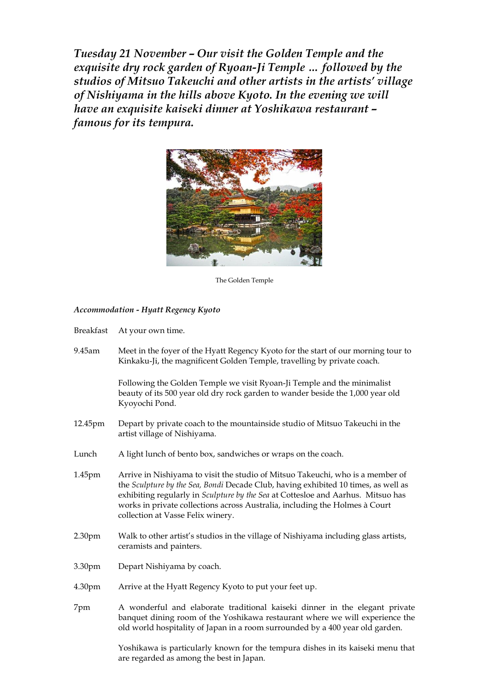*Tuesday 21 November – Our visit the Golden Temple and the exquisite dry rock garden of Ryoan-Ji Temple … followed by the studios of Mitsuo Takeuchi and other artists in the artists' village of Nishiyama in the hills above Kyoto. In the evening we will have an exquisite kaiseki dinner at Yoshikawa restaurant – famous for its tempura.*



The Golden Temple

#### *Accommodation - Hyatt Regency Kyoto*

| <b>Breakfast</b> |  | At your own time. |
|------------------|--|-------------------|
|------------------|--|-------------------|

9.45am Meet in the foyer of the Hyatt Regency Kyoto for the start of our morning tour to Kinkaku-Ji, the magnificent Golden Temple, travelling by private coach.

> Following the Golden Temple we visit Ryoan-Ji Temple and the minimalist beauty of its 500 year old dry rock garden to wander beside the 1,000 year old Kyoyochi Pond.

- 12.45pm Depart by private coach to the mountainside studio of Mitsuo Takeuchi in the artist village of Nishiyama.
- Lunch A light lunch of bento box, sandwiches or wraps on the coach.
- 1.45pm Arrive in Nishiyama to visit the studio of Mitsuo Takeuchi, who is a member of the *Sculpture by the Sea, Bondi* Decade Club, having exhibited 10 times, as well as exhibiting regularly in *Sculpture by the Sea* at Cottesloe and Aarhus. Mitsuo has works in private collections across Australia, including the Holmes à Court collection at Vasse Felix winery.
- 2.30pm Walk to other artist's studios in the village of Nishiyama including glass artists, ceramists and painters.
- 3.30pm Depart Nishiyama by coach.
- 4.30pm Arrive at the Hyatt Regency Kyoto to put your feet up.
- 7pm A wonderful and elaborate traditional kaiseki dinner in the elegant private banquet dining room of the Yoshikawa restaurant where we will experience the old world hospitality of Japan in a room surrounded by a 400 year old garden.

Yoshikawa is particularly known for the tempura dishes in its kaiseki menu that are regarded as among the best in Japan.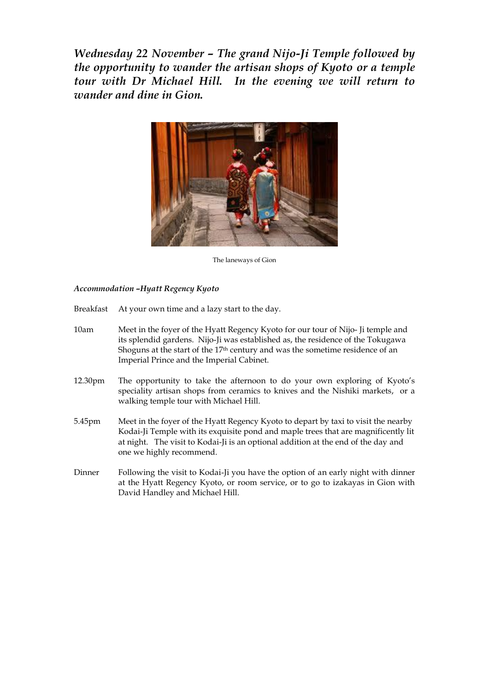*Wednesday 22 November – The grand Nijo-Ji Temple followed by the opportunity to wander the artisan shops of Kyoto or a temple tour with Dr Michael Hill. In the evening we will return to wander and dine in Gion.*



The laneways of Gion

### *Accommodation –Hyatt Regency Kyoto*

- Breakfast At your own time and a lazy start to the day.
- 10am Meet in the foyer of the Hyatt Regency Kyoto for our tour of Nijo- Ji temple and its splendid gardens. Nijo-Ji was established as, the residence of the Tokugawa Shoguns at the start of the 17th century and was the sometime residence of an Imperial Prince and the Imperial Cabinet.
- 12.30pm The opportunity to take the afternoon to do your own exploring of Kyoto's speciality artisan shops from ceramics to knives and the Nishiki markets, or a walking temple tour with Michael Hill.
- 5.45pm Meet in the foyer of the Hyatt Regency Kyoto to depart by taxi to visit the nearby Kodai-Ji Temple with its exquisite pond and maple trees that are magnificently lit at night. The visit to Kodai-Ji is an optional addition at the end of the day and one we highly recommend.
- Dinner Following the visit to Kodai-Ji you have the option of an early night with dinner at the Hyatt Regency Kyoto, or room service, or to go to izakayas in Gion with David Handley and Michael Hill.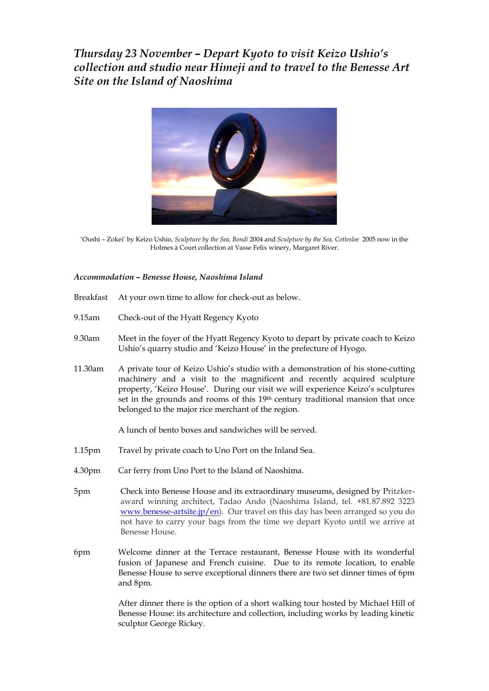*Thursday 23 November – Depart Kyoto to visit Keizo Ushio's collection and studio near Himeji and to travel to the Benesse Art Site on the Island of Naoshima*



'Oushi – Zokei' by Keizo Ushio, *Sculpture by the Sea, Bondi* 2004 and *Sculpture by the Sea, Cottesloe* 2005 now in the Holmes à Court collection at Vasse Felix winery, Margaret River.

#### *Accommodation – Benesse House, Naoshima Island*

- Breakfast At your own time to allow for check-out as below.
- 9.15am Check-out of the Hyatt Regency Kyoto
- 9.30am Meet in the foyer of the Hyatt Regency Kyoto to depart by private coach to Keizo Ushio's quarry studio and 'Keizo House' in the prefecture of Hyogo.
- 11.30am A private tour of Keizo Ushio's studio with a demonstration of his stone-cutting machinery and a visit to the magnificent and recently acquired sculpture property, 'Keizo House'. During our visit we will experience Keizo's sculptures set in the grounds and rooms of this 19th century traditional mansion that once belonged to the major rice merchant of the region.

A lunch of bento boxes and sandwiches will be served.

- 1.15pm Travel by private coach to Uno Port on the Inland Sea.
- 4.30pm Car ferry from Uno Port to the Island of Naoshima.
- 5pm Check into Benesse House and its extraordinary museums, designed by Pritzkeraward winning architect, Tadao Ando (Naoshima Island, tel. +81.87.892 3223 [www.benesse-artsite.jp/en\)](http://www.benesse-artsite.jp/en). Our travel on this day has been arranged so you do not have to carry your bags from the time we depart Kyoto until we arrive at Benesse House.
- 6pm Welcome dinner at the Terrace restaurant, Benesse House with its wonderful fusion of Japanese and French cuisine. Due to its remote location, to enable Benesse House to serve exceptional dinners there are two set dinner times of 6pm and 8pm.

After dinner there is the option of a short walking tour hosted by Michael Hill of Benesse House: its architecture and collection, including works by leading kinetic sculptor George Rickey.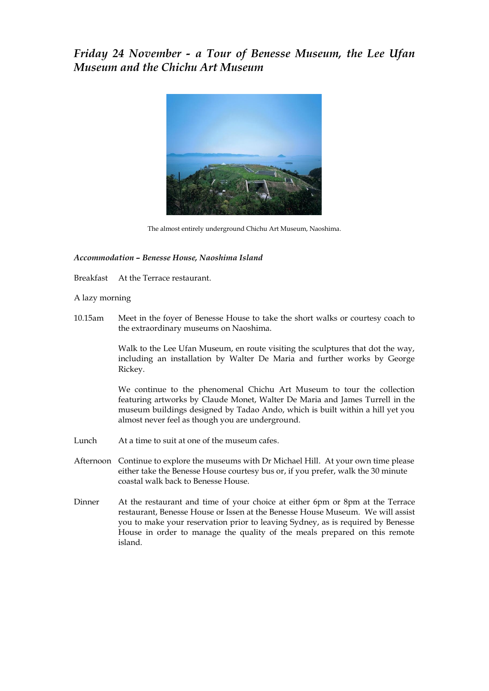### *Friday 24 November - a Tour of Benesse Museum, the Lee Ufan Museum and the Chichu Art Museum*



The almost entirely underground Chichu Art Museum, Naoshima.

#### *Accommodation – Benesse House, Naoshima Island*

Breakfast At the Terrace restaurant.

A lazy morning

10.15am Meet in the foyer of Benesse House to take the short walks or courtesy coach to the extraordinary museums on Naoshima.

> Walk to the Lee Ufan Museum, en route visiting the sculptures that dot the way, including an installation by Walter De Maria and further works by George Rickey.

> We continue to the phenomenal Chichu Art Museum to tour the collection featuring artworks by Claude Monet, Walter De Maria and James Turrell in the museum buildings designed by Tadao Ando, which is built within a hill yet you almost never feel as though you are underground.

- Lunch At a time to suit at one of the museum cafes.
- Afternoon Continue to explore the museums with Dr Michael Hill. At your own time please either take the Benesse House courtesy bus or, if you prefer, walk the 30 minute coastal walk back to Benesse House.
- Dinner At the restaurant and time of your choice at either 6pm or 8pm at the Terrace restaurant, Benesse House or Issen at the Benesse House Museum. We will assist you to make your reservation prior to leaving Sydney, as is required by Benesse House in order to manage the quality of the meals prepared on this remote island.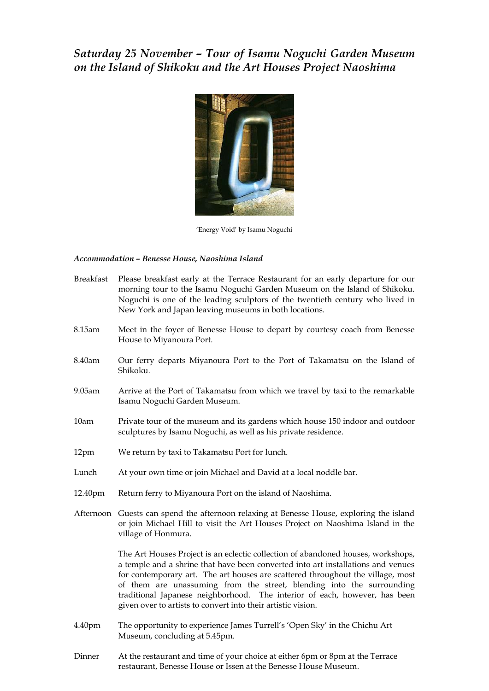# *Saturday 25 November – Tour of Isamu Noguchi Garden Museum on the Island of Shikoku and the Art Houses Project Naoshima*



'Energy Void' by Isamu Noguchi

#### *Accommodation – Benesse House, Naoshima Island*

| <b>Breakfast</b> | Please breakfast early at the Terrace Restaurant for an early departure for our<br>morning tour to the Isamu Noguchi Garden Museum on the Island of Shikoku.<br>Noguchi is one of the leading sculptors of the twentieth century who lived in<br>New York and Japan leaving museums in both locations.                                                                                                                                                                         |
|------------------|--------------------------------------------------------------------------------------------------------------------------------------------------------------------------------------------------------------------------------------------------------------------------------------------------------------------------------------------------------------------------------------------------------------------------------------------------------------------------------|
| 8.15am           | Meet in the foyer of Benesse House to depart by courtesy coach from Benesse<br>House to Miyanoura Port.                                                                                                                                                                                                                                                                                                                                                                        |
| 8.40am           | Our ferry departs Miyanoura Port to the Port of Takamatsu on the Island of<br>Shikoku.                                                                                                                                                                                                                                                                                                                                                                                         |
| 9.05am           | Arrive at the Port of Takamatsu from which we travel by taxi to the remarkable<br>Isamu Noguchi Garden Museum.                                                                                                                                                                                                                                                                                                                                                                 |
| 10am             | Private tour of the museum and its gardens which house 150 indoor and outdoor<br>sculptures by Isamu Noguchi, as well as his private residence.                                                                                                                                                                                                                                                                                                                                |
| 12pm             | We return by taxi to Takamatsu Port for lunch.                                                                                                                                                                                                                                                                                                                                                                                                                                 |
| Lunch            | At your own time or join Michael and David at a local noddle bar.                                                                                                                                                                                                                                                                                                                                                                                                              |
| 12.40pm          | Return ferry to Miyanoura Port on the island of Naoshima.                                                                                                                                                                                                                                                                                                                                                                                                                      |
|                  | Afternoon Guests can spend the afternoon relaxing at Benesse House, exploring the island<br>or join Michael Hill to visit the Art Houses Project on Naoshima Island in the<br>village of Honmura.                                                                                                                                                                                                                                                                              |
|                  | The Art Houses Project is an eclectic collection of abandoned houses, workshops,<br>a temple and a shrine that have been converted into art installations and venues<br>for contemporary art. The art houses are scattered throughout the village, most<br>of them are unassuming from the street, blending into the surrounding<br>traditional Japanese neighborhood. The interior of each, however, has been<br>given over to artists to convert into their artistic vision. |
| 4.40pm           | The opportunity to experience James Turrell's 'Open Sky' in the Chichu Art<br>Museum, concluding at 5.45pm.                                                                                                                                                                                                                                                                                                                                                                    |
| Dinner           | At the restaurant and time of your choice at either 6pm or 8pm at the Terrace                                                                                                                                                                                                                                                                                                                                                                                                  |

restaurant, Benesse House or Issen at the Benesse House Museum.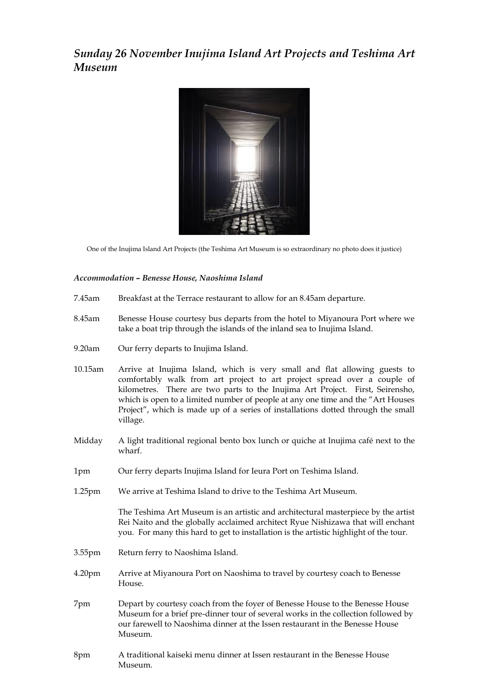*Sunday 26 November Inujima Island Art Projects and Teshima Art Museum*



One of the Inujima Island Art Projects (the Teshima Art Museum is so extraordinary no photo does it justice)

#### *Accommodation – Benesse House, Naoshima Island*

- 7.45am Breakfast at the Terrace restaurant to allow for an 8.45am departure.
- 8.45am Benesse House courtesy bus departs from the hotel to Miyanoura Port where we take a boat trip through the islands of the inland sea to Inujima Island.
- 9.20am Our ferry departs to Inujima Island.
- 10.15am Arrive at Inujima Island, which is very small and flat allowing guests to comfortably walk from art project to art project spread over a couple of kilometres. There are two parts to the Inujima Art Project. First, Seirensho, which is open to a limited number of people at any one time and the "Art Houses Project", which is made up of a series of installations dotted through the small village.
- Midday A light traditional regional bento box lunch or quiche at Inujima café next to the wharf.
- 1pm Our ferry departs Inujima Island for Ieura Port on Teshima Island.
- 1.25pm We arrive at Teshima Island to drive to the Teshima Art Museum.

The Teshima Art Museum is an artistic and architectural masterpiece by the artist Rei Naito and the globally acclaimed architect Ryue Nishizawa that will enchant you. For many this hard to get to installation is the artistic highlight of the tour.

- 3.55pm Return ferry to Naoshima Island.
- 4.20pm Arrive at Miyanoura Port on Naoshima to travel by courtesy coach to Benesse House.
- 7pm Depart by courtesy coach from the foyer of Benesse House to the Benesse House Museum for a brief pre-dinner tour of several works in the collection followed by our farewell to Naoshima dinner at the Issen restaurant in the Benesse House Museum.
- 8pm A traditional kaiseki menu dinner at Issen restaurant in the Benesse House Museum.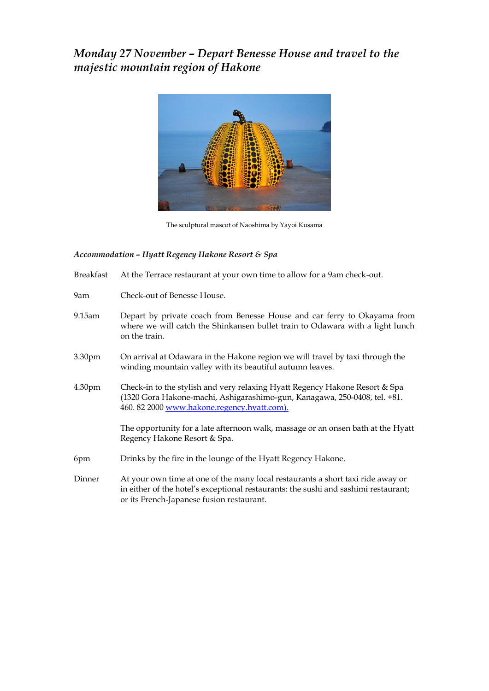# *Monday 27 November – Depart Benesse House and travel to the majestic mountain region of Hakone*



The sculptural mascot of Naoshima by Yayoi Kusama

#### *Accommodation – Hyatt Regency Hakone Resort & Spa*

- Breakfast At the Terrace restaurant at your own time to allow for a 9am check-out.
- 9am Check-out of Benesse House.
- 9.15am Depart by private coach from Benesse House and car ferry to Okayama from where we will catch the Shinkansen bullet train to Odawara with a light lunch on the train.
- 3.30pm On arrival at Odawara in the Hakone region we will travel by taxi through the winding mountain valley with its beautiful autumn leaves.
- 4.30pm Check-in to the stylish and very relaxing Hyatt Regency Hakone Resort & Spa (1320 Gora Hakone-machi, Ashigarashimo-gun, Kanagawa, 250-0408, tel. +81. 460. 82 200[0 www.hakone.regency.hyatt.com\)](http://www.hakone.regency.hyatt.com/).

The opportunity for a late afternoon walk, massage or an onsen bath at the Hyatt Regency Hakone Resort & Spa.

- 6pm Drinks by the fire in the lounge of the Hyatt Regency Hakone.
- Dinner At your own time at one of the many local restaurants a short taxi ride away or in either of the hotel's exceptional restaurants: the sushi and sashimi restaurant; or its French-Japanese fusion restaurant.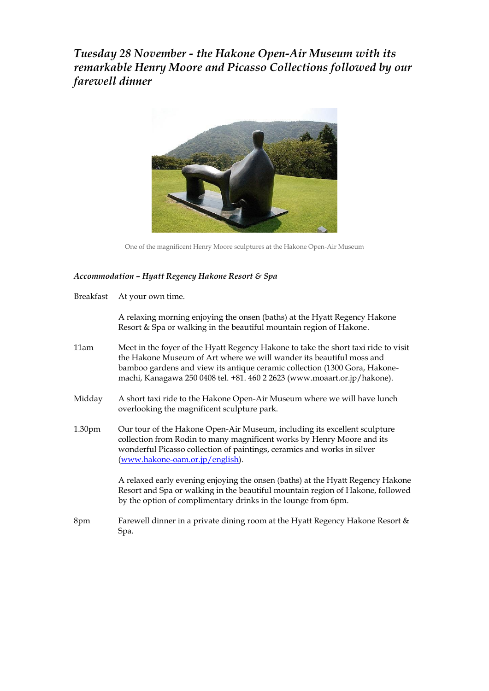*Tuesday 28 November - the Hakone Open-Air Museum with its remarkable Henry Moore and Picasso Collections followed by our farewell dinner*



One of the magnificent Henry Moore sculptures at the Hakone Open-Air Museum

#### *Accommodation – Hyatt Regency Hakone Resort & Spa*

Breakfast At your own time.

A relaxing morning enjoying the onsen (baths) at the Hyatt Regency Hakone Resort & Spa or walking in the beautiful mountain region of Hakone.

- 11am Meet in the foyer of the Hyatt Regency Hakone to take the short taxi ride to visit the Hakone Museum of Art where we will wander its beautiful moss and bamboo gardens and view its antique ceramic collection (1300 Gora, Hakonemachi, Kanagawa 250 0408 tel. +81. 460 2 2623 (www.moaart.or.jp/hakone).
- Midday A short taxi ride to the Hakone Open-Air Museum where we will have lunch overlooking the magnificent sculpture park.
- 1.30pm Our tour of the Hakone Open-Air Museum, including its excellent sculpture collection from Rodin to many magnificent works by Henry Moore and its wonderful Picasso collection of paintings, ceramics and works in silver [\(www.hakone-oam.or.jp/english\)](http://www.hakone-oam.or.jp/english).

A relaxed early evening enjoying the onsen (baths) at the Hyatt Regency Hakone Resort and Spa or walking in the beautiful mountain region of Hakone, followed by the option of complimentary drinks in the lounge from 6pm.

8pm Farewell dinner in a private dining room at the Hyatt Regency Hakone Resort & Spa.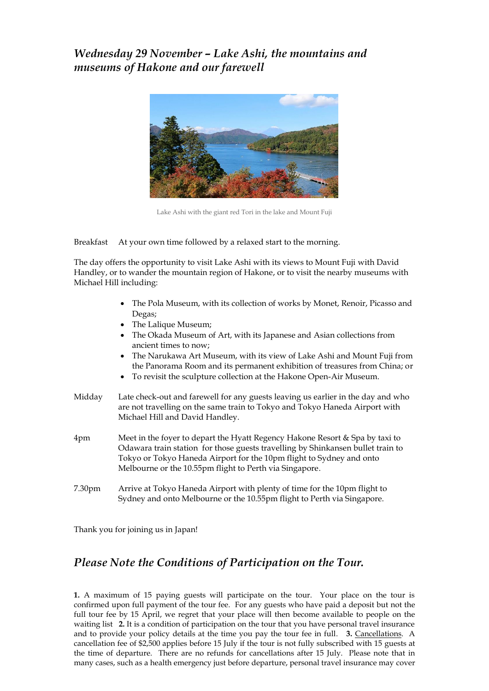*Wednesday 29 November – Lake Ashi, the mountains and museums of Hakone and our farewell*



Lake Ashi with the giant red Tori in the lake and Mount Fuji

Breakfast At your own time followed by a relaxed start to the morning.

The day offers the opportunity to visit Lake Ashi with its views to Mount Fuji with David Handley, or to wander the mountain region of Hakone, or to visit the nearby museums with Michael Hill including:

- The Pola Museum, with its collection of works by Monet, Renoir, Picasso and Degas;
- The Lalique Museum;
- The Okada Museum of Art, with its Japanese and Asian collections from ancient times to now;
- The Narukawa Art Museum, with its view of Lake Ashi and Mount Fuji from the Panorama Room and its permanent exhibition of treasures from China; or
- To revisit the sculpture collection at the Hakone Open-Air Museum.
- Midday Late check-out and farewell for any guests leaving us earlier in the day and who are not travelling on the same train to Tokyo and Tokyo Haneda Airport with Michael Hill and David Handley.
- 4pm Meet in the foyer to depart the Hyatt Regency Hakone Resort & Spa by taxi to Odawara train station for those guests travelling by Shinkansen bullet train to Tokyo or Tokyo Haneda Airport for the 10pm flight to Sydney and onto Melbourne or the 10.55pm flight to Perth via Singapore.
- 7.30pm Arrive at Tokyo Haneda Airport with plenty of time for the 10pm flight to Sydney and onto Melbourne or the 10.55pm flight to Perth via Singapore.

Thank you for joining us in Japan!

### *Please Note the Conditions of Participation on the Tour.*

**1.** A maximum of 15 paying guests will participate on the tour. Your place on the tour is confirmed upon full payment of the tour fee. For any guests who have paid a deposit but not the full tour fee by 15 April, we regret that your place will then become available to people on the waiting list **2.** It is a condition of participation on the tour that you have personal travel insurance and to provide your policy details at the time you pay the tour fee in full. **3.** Cancellations. A cancellation fee of \$2,500 applies before 15 July if the tour is not fully subscribed with 15 guests at the time of departure. There are no refunds for cancellations after 15 July. Please note that in many cases, such as a health emergency just before departure, personal travel insurance may cover